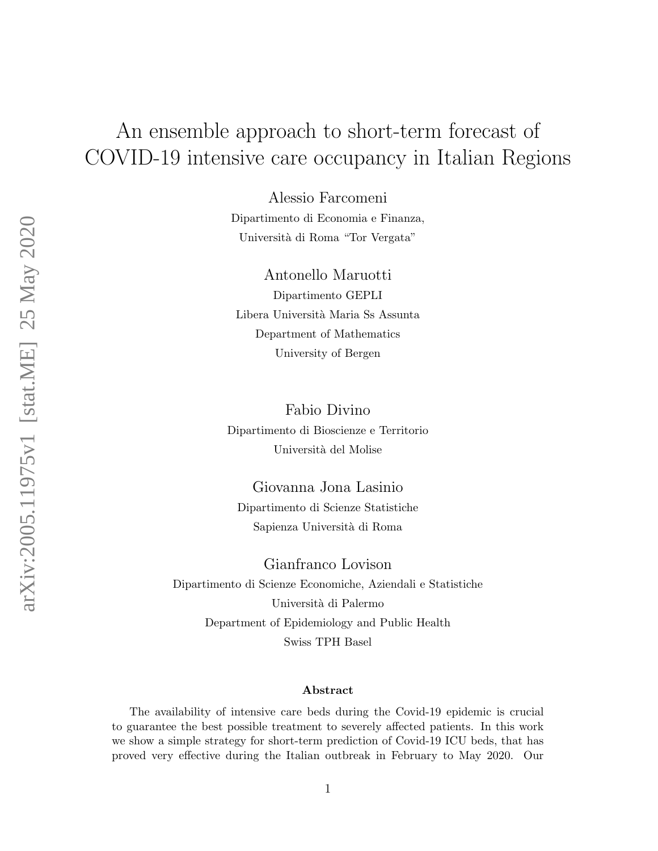# An ensemble approach to short-term forecast of COVID-19 intensive care occupancy in Italian Regions

Alessio Farcomeni Dipartimento di Economia e Finanza, Università di Roma "Tor Vergata"

Antonello Maruotti Dipartimento GEPLI Libera Universit`a Maria Ss Assunta Department of Mathematics University of Bergen

Fabio Divino Dipartimento di Bioscienze e Territorio Università del Molise

Giovanna Jona Lasinio Dipartimento di Scienze Statistiche Sapienza Universit`a di Roma

Gianfranco Lovison Dipartimento di Scienze Economiche, Aziendali e Statistiche Università di Palermo Department of Epidemiology and Public Health Swiss TPH Basel

#### Abstract

The availability of intensive care beds during the Covid-19 epidemic is crucial to guarantee the best possible treatment to severely affected patients. In this work we show a simple strategy for short-term prediction of Covid-19 ICU beds, that has proved very effective during the Italian outbreak in February to May 2020. Our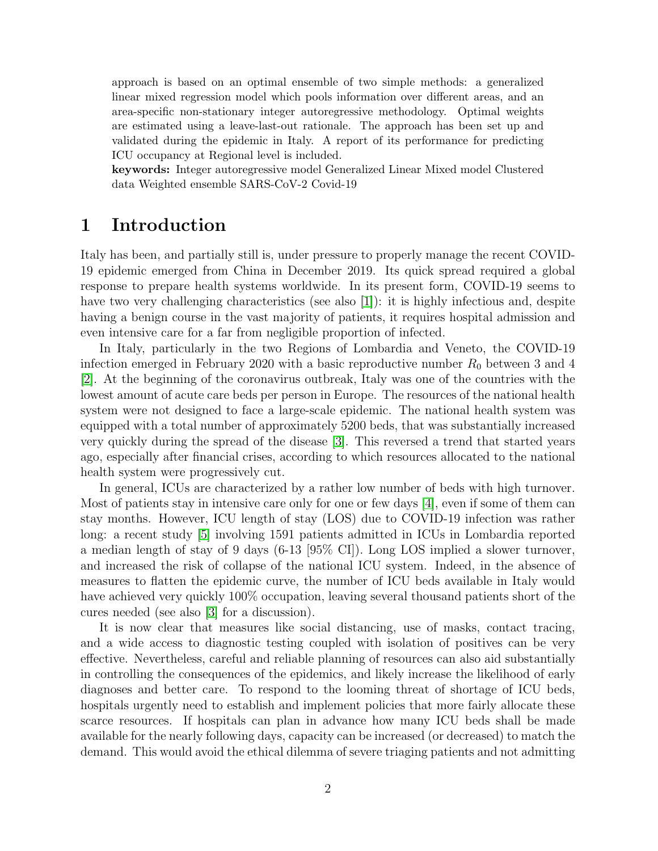approach is based on an optimal ensemble of two simple methods: a generalized linear mixed regression model which pools information over different areas, and an area-specific non-stationary integer autoregressive methodology. Optimal weights are estimated using a leave-last-out rationale. The approach has been set up and validated during the epidemic in Italy. A report of its performance for predicting ICU occupancy at Regional level is included.

keywords: Integer autoregressive model Generalized Linear Mixed model Clustered data Weighted ensemble SARS-CoV-2 Covid-19

### 1 Introduction

Italy has been, and partially still is, under pressure to properly manage the recent COVID-19 epidemic emerged from China in December 2019. Its quick spread required a global response to prepare health systems worldwide. In its present form, COVID-19 seems to have two very challenging characteristics (see also [\[1\]](#page-10-0)): it is highly infectious and, despite having a benign course in the vast majority of patients, it requires hospital admission and even intensive care for a far from negligible proportion of infected.

In Italy, particularly in the two Regions of Lombardia and Veneto, the COVID-19 infection emerged in February 2020 with a basic reproductive number  $R_0$  between 3 and 4 [\[2\]](#page-10-1). At the beginning of the coronavirus outbreak, Italy was one of the countries with the lowest amount of acute care beds per person in Europe. The resources of the national health system were not designed to face a large-scale epidemic. The national health system was equipped with a total number of approximately 5200 beds, that was substantially increased very quickly during the spread of the disease [\[3\]](#page-10-2). This reversed a trend that started years ago, especially after financial crises, according to which resources allocated to the national health system were progressively cut.

In general, ICUs are characterized by a rather low number of beds with high turnover. Most of patients stay in intensive care only for one or few days [\[4\]](#page-10-3), even if some of them can stay months. However, ICU length of stay (LOS) due to COVID-19 infection was rather long: a recent study [\[5\]](#page-10-4) involving 1591 patients admitted in ICUs in Lombardia reported a median length of stay of 9 days (6-13 [95% CI]). Long LOS implied a slower turnover, and increased the risk of collapse of the national ICU system. Indeed, in the absence of measures to flatten the epidemic curve, the number of ICU beds available in Italy would have achieved very quickly  $100\%$  occupation, leaving several thousand patients short of the cures needed (see also [\[3\]](#page-10-2) for a discussion).

It is now clear that measures like social distancing, use of masks, contact tracing, and a wide access to diagnostic testing coupled with isolation of positives can be very effective. Nevertheless, careful and reliable planning of resources can also aid substantially in controlling the consequences of the epidemics, and likely increase the likelihood of early diagnoses and better care. To respond to the looming threat of shortage of ICU beds, hospitals urgently need to establish and implement policies that more fairly allocate these scarce resources. If hospitals can plan in advance how many ICU beds shall be made available for the nearly following days, capacity can be increased (or decreased) to match the demand. This would avoid the ethical dilemma of severe triaging patients and not admitting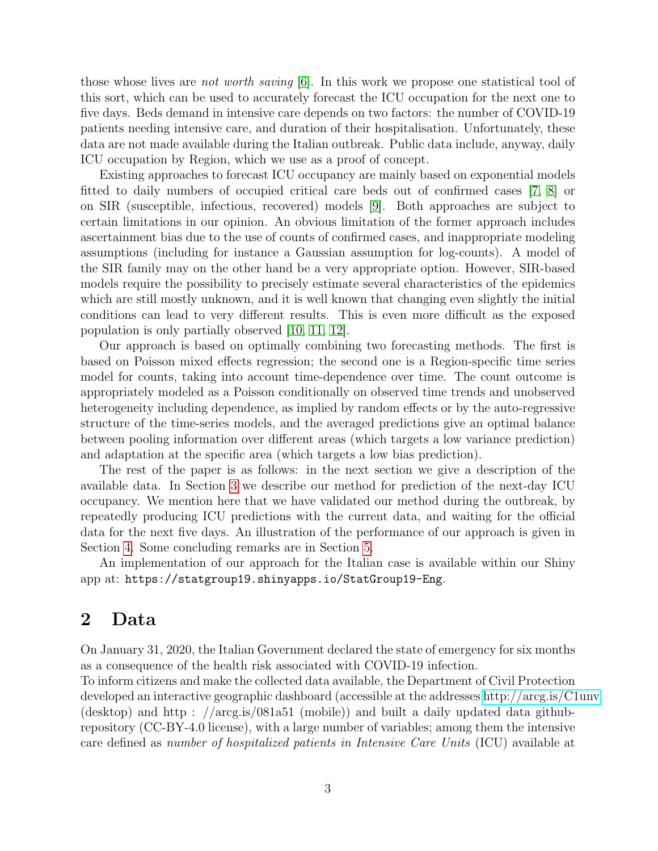those whose lives are not worth saving [\[6\]](#page-11-0). In this work we propose one statistical tool of this sort, which can be used to accurately forecast the ICU occupation for the next one to five days. Beds demand in intensive care depends on two factors: the number of COVID-19 patients needing intensive care, and duration of their hospitalisation. Unfortunately, these data are not made available during the Italian outbreak. Public data include, anyway, daily ICU occupation by Region, which we use as a proof of concept.

Existing approaches to forecast ICU occupancy are mainly based on exponential models fitted to daily numbers of occupied critical care beds out of confirmed cases [\[7,](#page-11-1) [8\]](#page-11-2) or on SIR (susceptible, infectious, recovered) models [\[9\]](#page-11-3). Both approaches are subject to certain limitations in our opinion. An obvious limitation of the former approach includes ascertainment bias due to the use of counts of confirmed cases, and inappropriate modeling assumptions (including for instance a Gaussian assumption for log-counts). A model of the SIR family may on the other hand be a very appropriate option. However, SIR-based models require the possibility to precisely estimate several characteristics of the epidemics which are still mostly unknown, and it is well known that changing even slightly the initial conditions can lead to very different results. This is even more difficult as the exposed population is only partially observed [\[10,](#page-11-4) [11,](#page-11-5) [12\]](#page-11-6).

Our approach is based on optimally combining two forecasting methods. The first is based on Poisson mixed effects regression; the second one is a Region-specific time series model for counts, taking into account time-dependence over time. The count outcome is appropriately modeled as a Poisson conditionally on observed time trends and unobserved heterogeneity including dependence, as implied by random effects or by the auto-regressive structure of the time-series models, and the averaged predictions give an optimal balance between pooling information over different areas (which targets a low variance prediction) and adaptation at the specific area (which targets a low bias prediction).

The rest of the paper is as follows: in the next section we give a description of the available data. In Section [3](#page-5-0) we describe our method for prediction of the next-day ICU occupancy. We mention here that we have validated our method during the outbreak, by repeatedly producing ICU predictions with the current data, and waiting for the official data for the next five days. An illustration of the performance of our approach is given in Section [4.](#page-7-0) Some concluding remarks are in Section [5.](#page-8-0)

An implementation of our approach for the Italian case is available within our Shiny app at: https://statgroup19.shinyapps.io/StatGroup19-Eng.

### 2 Data

On January 31, 2020, the Italian Government declared the state of emergency for six months as a consequence of the health risk associated with COVID-19 infection.

To inform citizens and make the collected data available, the Department of Civil Protection developed an interactive geographic dashboard (accessible at the addresses<http://arcg.is/C1unv> (desktop) and http : //arcg.is/081a51 (mobile)) and built a daily updated data githubrepository (CC-BY-4.0 license), with a large number of variables; among them the intensive care defined as number of hospitalized patients in Intensive Care Units (ICU) available at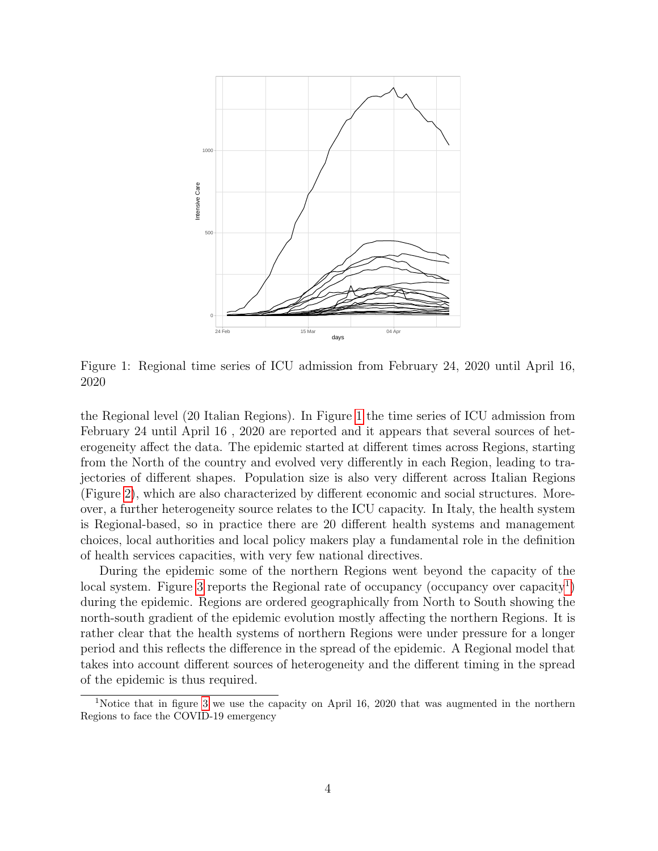

<span id="page-3-0"></span>Figure 1: Regional time series of ICU admission from February 24, 2020 until April 16, 2020

the Regional level (20 Italian Regions). In Figure [1](#page-3-0) the time series of ICU admission from February 24 until April 16 , 2020 are reported and it appears that several sources of heterogeneity affect the data. The epidemic started at different times across Regions, starting from the North of the country and evolved very differently in each Region, leading to trajectories of different shapes. Population size is also very different across Italian Regions (Figure [2\)](#page-4-0), which are also characterized by different economic and social structures. Moreover, a further heterogeneity source relates to the ICU capacity. In Italy, the health system is Regional-based, so in practice there are 20 different health systems and management choices, local authorities and local policy makers play a fundamental role in the definition of health services capacities, with very few national directives.

During the epidemic some of the northern Regions went beyond the capacity of the local system. Figure [3](#page-4-1) reports the Regional rate of occupancy (occupancy over capacity<sup>[1](#page-3-1)</sup>) during the epidemic. Regions are ordered geographically from North to South showing the north-south gradient of the epidemic evolution mostly affecting the northern Regions. It is rather clear that the health systems of northern Regions were under pressure for a longer period and this reflects the difference in the spread of the epidemic. A Regional model that takes into account different sources of heterogeneity and the different timing in the spread of the epidemic is thus required.

<span id="page-3-1"></span><sup>1</sup>Notice that in figure [3](#page-4-1) we use the capacity on April 16, 2020 that was augmented in the northern Regions to face the COVID-19 emergency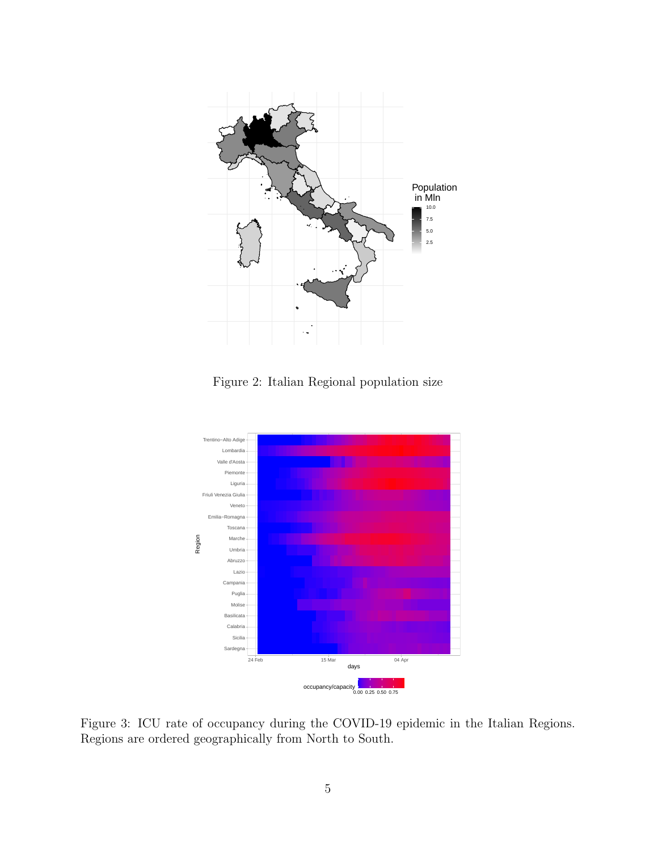

<span id="page-4-0"></span>Figure 2: Italian Regional population size



<span id="page-4-1"></span>Figure 3: ICU rate of occupancy during the COVID-19 epidemic in the Italian Regions. Regions are ordered geographically from North to South.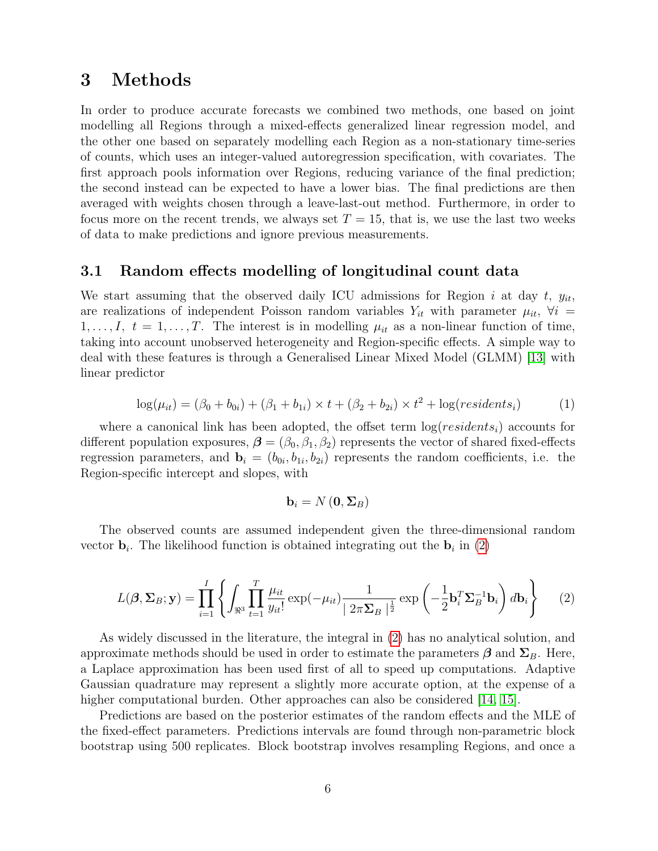### <span id="page-5-0"></span>3 Methods

In order to produce accurate forecasts we combined two methods, one based on joint modelling all Regions through a mixed-effects generalized linear regression model, and the other one based on separately modelling each Region as a non-stationary time-series of counts, which uses an integer-valued autoregression specification, with covariates. The first approach pools information over Regions, reducing variance of the final prediction; the second instead can be expected to have a lower bias. The final predictions are then averaged with weights chosen through a leave-last-out method. Furthermore, in order to focus more on the recent trends, we always set  $T = 15$ , that is, we use the last two weeks of data to make predictions and ignore previous measurements.

### 3.1 Random effects modelling of longitudinal count data

We start assuming that the observed daily ICU admissions for Region i at day t,  $y_{it}$ , are realizations of independent Poisson random variables  $Y_{it}$  with parameter  $\mu_{it}$ ,  $\forall i =$  $1, \ldots, I, t = 1, \ldots, T$ . The interest is in modelling  $\mu_{it}$  as a non-linear function of time, taking into account unobserved heterogeneity and Region-specific effects. A simple way to deal with these features is through a Generalised Linear Mixed Model (GLMM) [\[13\]](#page-11-7) with linear predictor

$$
\log(\mu_{it}) = (\beta_0 + b_{0i}) + (\beta_1 + b_{1i}) \times t + (\beta_2 + b_{2i}) \times t^2 + \log(residents_i)
$$
 (1)

where a canonical link has been adopted, the offset term  $log(residents<sub>i</sub>)$  accounts for different population exposures,  $\boldsymbol{\beta} = (\beta_0, \beta_1, \beta_2)$  represents the vector of shared fixed-effects regression parameters, and  $\mathbf{b}_i = (b_{0i}, b_{1i}, b_{2i})$  represents the random coefficients, i.e. the Region-specific intercept and slopes, with

$$
\mathbf{b}_{i}=N\left(\mathbf{0},\mathbf{\Sigma}_{B}\right)
$$

The observed counts are assumed independent given the three-dimensional random vector  $\mathbf{b}_i$ . The likelihood function is obtained integrating out the  $\mathbf{b}_i$  in [\(2\)](#page-5-1)

<span id="page-5-1"></span>
$$
L(\boldsymbol{\beta}, \boldsymbol{\Sigma}_B; \mathbf{y}) = \prod_{i=1}^I \left\{ \int_{\Re^3} \prod_{t=1}^T \frac{\mu_{it}}{y_{it}!} \exp(-\mu_{it}) \frac{1}{|2\pi \boldsymbol{\Sigma}_B|^{\frac{1}{2}}} \exp\left(-\frac{1}{2} \mathbf{b}_i^T \boldsymbol{\Sigma}_B^{-1} \mathbf{b}_i\right) d\mathbf{b}_i \right\} \tag{2}
$$

As widely discussed in the literature, the integral in [\(2\)](#page-5-1) has no analytical solution, and approximate methods should be used in order to estimate the parameters  $\beta$  and  $\Sigma_B$ . Here, a Laplace approximation has been used first of all to speed up computations. Adaptive Gaussian quadrature may represent a slightly more accurate option, at the expense of a higher computational burden. Other approaches can also be considered [\[14,](#page-11-8) [15\]](#page-11-9).

Predictions are based on the posterior estimates of the random effects and the MLE of the fixed-effect parameters. Predictions intervals are found through non-parametric block bootstrap using 500 replicates. Block bootstrap involves resampling Regions, and once a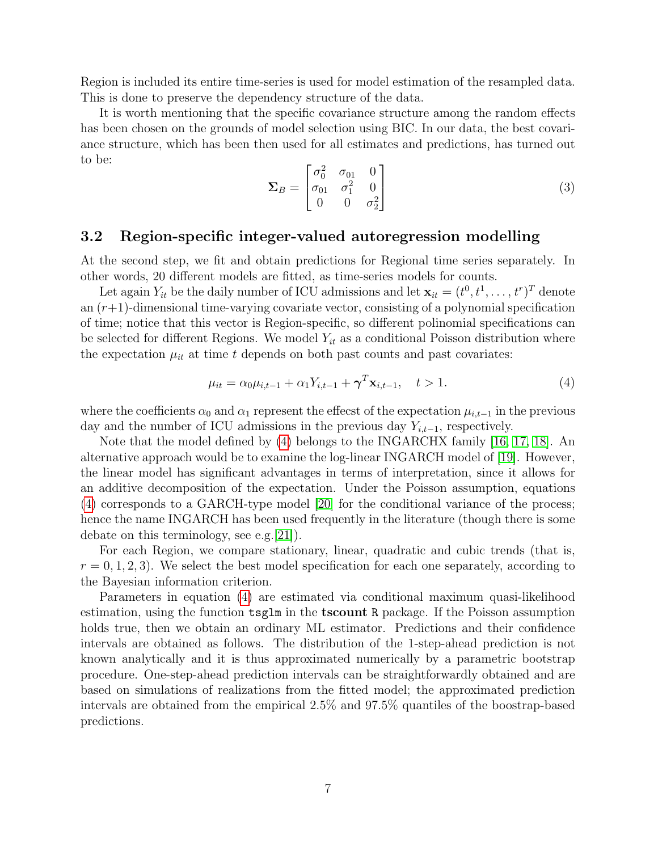Region is included its entire time-series is used for model estimation of the resampled data. This is done to preserve the dependency structure of the data.

It is worth mentioning that the specific covariance structure among the random effects has been chosen on the grounds of model selection using BIC. In our data, the best covariance structure, which has been then used for all estimates and predictions, has turned out to be:

$$
\Sigma_B = \begin{bmatrix} \sigma_0^2 & \sigma_{01} & 0 \\ \sigma_{01} & \sigma_1^2 & 0 \\ 0 & 0 & \sigma_2^2 \end{bmatrix}
$$
 (3)

### 3.2 Region-specific integer-valued autoregression modelling

At the second step, we fit and obtain predictions for Regional time series separately. In other words, 20 different models are fitted, as time-series models for counts.

Let again  $Y_{it}$  be the daily number of ICU admissions and let  $\mathbf{x}_{it} = (t^0, t^1, \dots, t^r)^T$  denote an  $(r+1)$ -dimensional time-varying covariate vector, consisting of a polynomial specification of time; notice that this vector is Region-specific, so different polinomial specifications can be selected for different Regions. We model  $Y_{it}$  as a conditional Poisson distribution where the expectation  $\mu_{it}$  at time t depends on both past counts and past covariates:

<span id="page-6-0"></span>
$$
\mu_{it} = \alpha_0 \mu_{i,t-1} + \alpha_1 Y_{i,t-1} + \gamma^T \mathbf{x}_{i,t-1}, \quad t > 1.
$$
\n(4)

where the coefficients  $\alpha_0$  and  $\alpha_1$  represent the effecst of the expectation  $\mu_{i,t-1}$  in the previous day and the number of ICU admissions in the previous day  $Y_{i,t-1}$ , respectively.

Note that the model defined by [\(4\)](#page-6-0) belongs to the INGARCHX family [\[16,](#page-11-10) [17,](#page-11-11) [18\]](#page-12-0). An alternative approach would be to examine the log-linear INGARCH model of [\[19\]](#page-12-1). However, the linear model has significant advantages in terms of interpretation, since it allows for an additive decomposition of the expectation. Under the Poisson assumption, equations [\(4\)](#page-6-0) corresponds to a GARCH-type model [\[20\]](#page-12-2) for the conditional variance of the process; hence the name INGARCH has been used frequently in the literature (though there is some debate on this terminology, see e.g.[\[21\]](#page-12-3)).

For each Region, we compare stationary, linear, quadratic and cubic trends (that is,  $r = 0, 1, 2, 3$ . We select the best model specification for each one separately, according to the Bayesian information criterion.

Parameters in equation [\(4\)](#page-6-0) are estimated via conditional maximum quasi-likelihood estimation, using the function  $\texttt{tsglm}$  in the **tscount** R package. If the Poisson assumption holds true, then we obtain an ordinary ML estimator. Predictions and their confidence intervals are obtained as follows. The distribution of the 1-step-ahead prediction is not known analytically and it is thus approximated numerically by a parametric bootstrap procedure. One-step-ahead prediction intervals can be straightforwardly obtained and are based on simulations of realizations from the fitted model; the approximated prediction intervals are obtained from the empirical 2.5% and 97.5% quantiles of the boostrap-based predictions.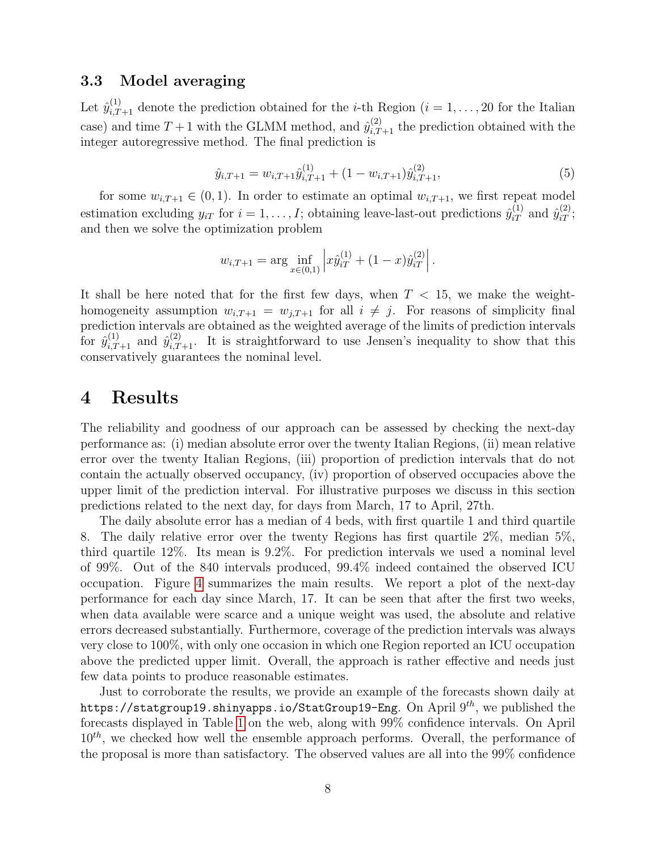#### 3.3 Model averaging

Let  $\hat{y}_{i,T+1}^{(1)}$  denote the prediction obtained for the *i*-th Region  $(i = 1, \ldots, 20)$  for the Italian case) and time  $T+1$  with the GLMM method, and  $\hat{y}_{i,T+1}^{(2)}$  the prediction obtained with the integer autoregressive method. The final prediction is

$$
\hat{y}_{i,T+1} = w_{i,T+1} \hat{y}_{i,T+1}^{(1)} + (1 - w_{i,T+1}) \hat{y}_{i,T+1}^{(2)},
$$
\n(5)

for some  $w_{i,T+1} \in (0,1)$ . In order to estimate an optimal  $w_{i,T+1}$ , we first repeat model estimation excluding  $y_{iT}$  for  $i = 1, ..., I$ ; obtaining leave-last-out predictions  $\hat{y}_{iT}^{(1)}$  and  $\hat{y}_{iT}^{(2)}$ ; and then we solve the optimization problem

$$
w_{i,T+1} = \arg \inf_{x \in (0,1)} \left| x \hat{y}_{iT}^{(1)} + (1-x) \hat{y}_{iT}^{(2)} \right|.
$$

It shall be here noted that for the first few days, when  $T < 15$ , we make the weighthomogeneity assumption  $w_{i,T+1} = w_{j,T+1}$  for all  $i \neq j$ . For reasons of simplicity final prediction intervals are obtained as the weighted average of the limits of prediction intervals for  $\hat{y}_{i,T+1}^{(1)}$  and  $\hat{y}_{i,T+1}^{(2)}$ . It is straightforward to use Jensen's inequality to show that this conservatively guarantees the nominal level.

### <span id="page-7-0"></span>4 Results

The reliability and goodness of our approach can be assessed by checking the next-day performance as: (i) median absolute error over the twenty Italian Regions, (ii) mean relative error over the twenty Italian Regions, (iii) proportion of prediction intervals that do not contain the actually observed occupancy, (iv) proportion of observed occupacies above the upper limit of the prediction interval. For illustrative purposes we discuss in this section predictions related to the next day, for days from March, 17 to April, 27th.

The daily absolute error has a median of 4 beds, with first quartile 1 and third quartile 8. The daily relative error over the twenty Regions has first quartile 2%, median 5%, third quartile 12%. Its mean is 9.2%. For prediction intervals we used a nominal level of 99%. Out of the 840 intervals produced, 99.4% indeed contained the observed ICU occupation. Figure [4](#page-8-1) summarizes the main results. We report a plot of the next-day performance for each day since March, 17. It can be seen that after the first two weeks, when data available were scarce and a unique weight was used, the absolute and relative errors decreased substantially. Furthermore, coverage of the prediction intervals was always very close to 100%, with only one occasion in which one Region reported an ICU occupation above the predicted upper limit. Overall, the approach is rather effective and needs just few data points to produce reasonable estimates.

Just to corroborate the results, we provide an example of the forecasts shown daily at https://statgroup19.shinyapps.io/StatGroup19-Eng. On April 9<sup>th</sup>, we published the forecasts displayed in Table [1](#page-9-0) on the web, along with 99% confidence intervals. On April  $10^{th}$ , we checked how well the ensemble approach performs. Overall, the performance of the proposal is more than satisfactory. The observed values are all into the 99% confidence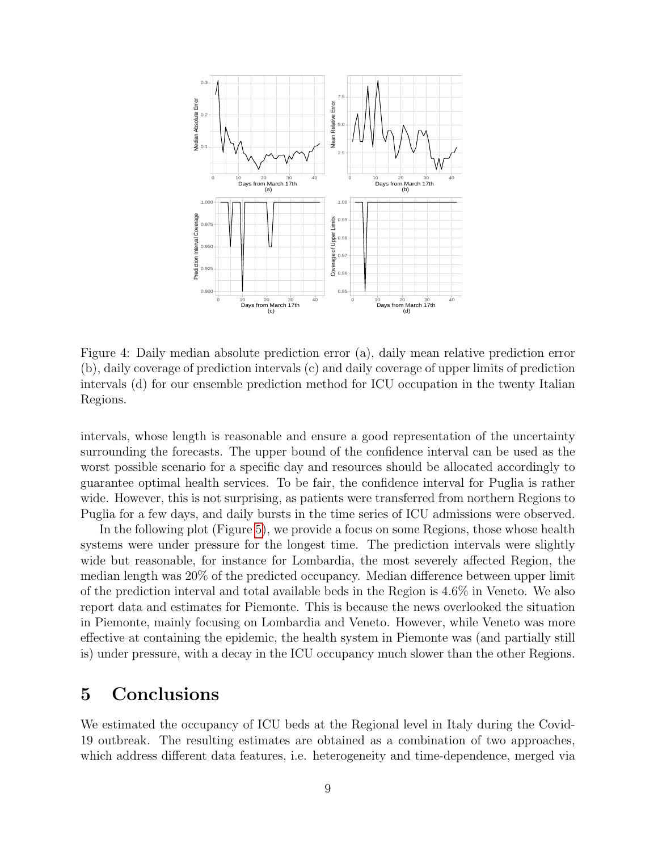

<span id="page-8-1"></span>Figure 4: Daily median absolute prediction error (a), daily mean relative prediction error (b), daily coverage of prediction intervals (c) and daily coverage of upper limits of prediction intervals (d) for our ensemble prediction method for ICU occupation in the twenty Italian Regions.

intervals, whose length is reasonable and ensure a good representation of the uncertainty surrounding the forecasts. The upper bound of the confidence interval can be used as the worst possible scenario for a specific day and resources should be allocated accordingly to guarantee optimal health services. To be fair, the confidence interval for Puglia is rather wide. However, this is not surprising, as patients were transferred from northern Regions to Puglia for a few days, and daily bursts in the time series of ICU admissions were observed.

In the following plot (Figure [5\)](#page-10-5), we provide a focus on some Regions, those whose health systems were under pressure for the longest time. The prediction intervals were slightly wide but reasonable, for instance for Lombardia, the most severely affected Region, the median length was 20% of the predicted occupancy. Median difference between upper limit of the prediction interval and total available beds in the Region is 4.6% in Veneto. We also report data and estimates for Piemonte. This is because the news overlooked the situation in Piemonte, mainly focusing on Lombardia and Veneto. However, while Veneto was more effective at containing the epidemic, the health system in Piemonte was (and partially still is) under pressure, with a decay in the ICU occupancy much slower than the other Regions.

### <span id="page-8-0"></span>5 Conclusions

We estimated the occupancy of ICU beds at the Regional level in Italy during the Covid-19 outbreak. The resulting estimates are obtained as a combination of two approaches, which address different data features, i.e. heterogeneity and time-dependence, merged via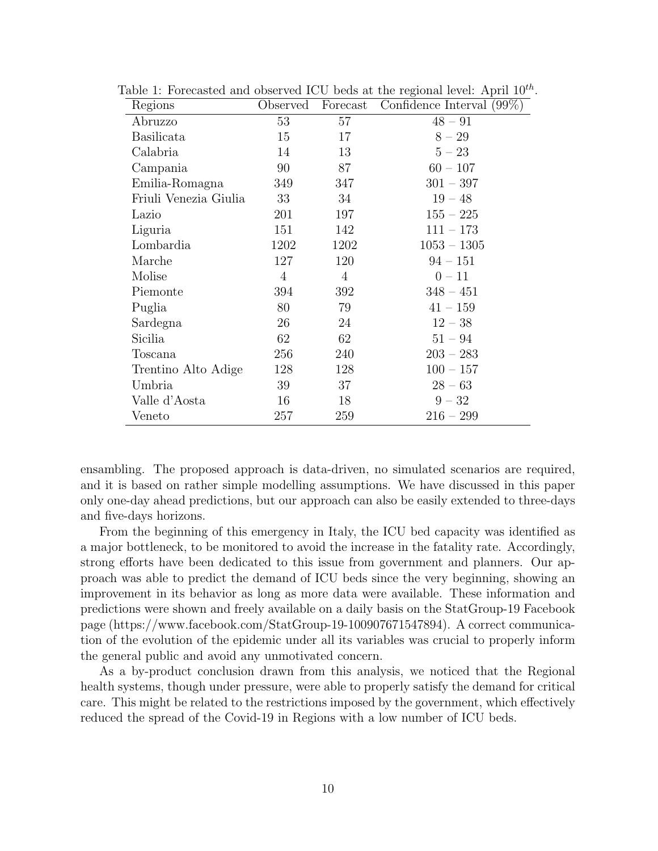<span id="page-9-0"></span>

| Regions               | Observed       | Forecast       | Confidence Interval (99%) |
|-----------------------|----------------|----------------|---------------------------|
| Abruzzo               | 53             | 57             | $48 - 91$                 |
| <b>Basilicata</b>     | 15             | 17             | $8 - 29$                  |
| Calabria              | 14             | 13             | $5 - 23$                  |
| Campania              | 90             | 87             | $60 - 107$                |
| Emilia-Romagna        | 349            | 347            | $301 - 397$               |
| Friuli Venezia Giulia | 33             | 34             | $19 - 48$                 |
| Lazio                 | 201            | 197            | $155 - 225$               |
| Liguria               | 151            | 142            | $111 - 173$               |
| Lombardia             | 1202           | 1202           | $1053 - 1305$             |
| Marche                | 127            | 120            | $94 - 151$                |
| Molise                | $\overline{4}$ | $\overline{4}$ | $0 - 11$                  |
| Piemonte              | 394            | 392            | $348 - 451$               |
| Puglia                | 80             | 79             | $41 - 159$                |
| Sardegna              | 26             | 24             | $12 - 38$                 |
| Sicilia               | 62             | 62             | $51 - 94$                 |
| Toscana               | 256            | 240            | $203 - 283$               |
| Trentino Alto Adige   | 128            | 128            | $100 - 157$               |
| Umbria                | 39             | 37             | $28 - 63$                 |
| Valle d'Aosta         | 16             | 18             | $9 - 32$                  |
| Veneto                | 257            | 259            | $216 - 299$               |

Table 1: Forecasted and observed ICU beds at the regional level: April  $10^{th}$ .

ensambling. The proposed approach is data-driven, no simulated scenarios are required, and it is based on rather simple modelling assumptions. We have discussed in this paper only one-day ahead predictions, but our approach can also be easily extended to three-days and five-days horizons.

From the beginning of this emergency in Italy, the ICU bed capacity was identified as a major bottleneck, to be monitored to avoid the increase in the fatality rate. Accordingly, strong efforts have been dedicated to this issue from government and planners. Our approach was able to predict the demand of ICU beds since the very beginning, showing an improvement in its behavior as long as more data were available. These information and predictions were shown and freely available on a daily basis on the StatGroup-19 Facebook page (https://www.facebook.com/StatGroup-19-100907671547894). A correct communication of the evolution of the epidemic under all its variables was crucial to properly inform the general public and avoid any unmotivated concern.

As a by-product conclusion drawn from this analysis, we noticed that the Regional health systems, though under pressure, were able to properly satisfy the demand for critical care. This might be related to the restrictions imposed by the government, which effectively reduced the spread of the Covid-19 in Regions with a low number of ICU beds.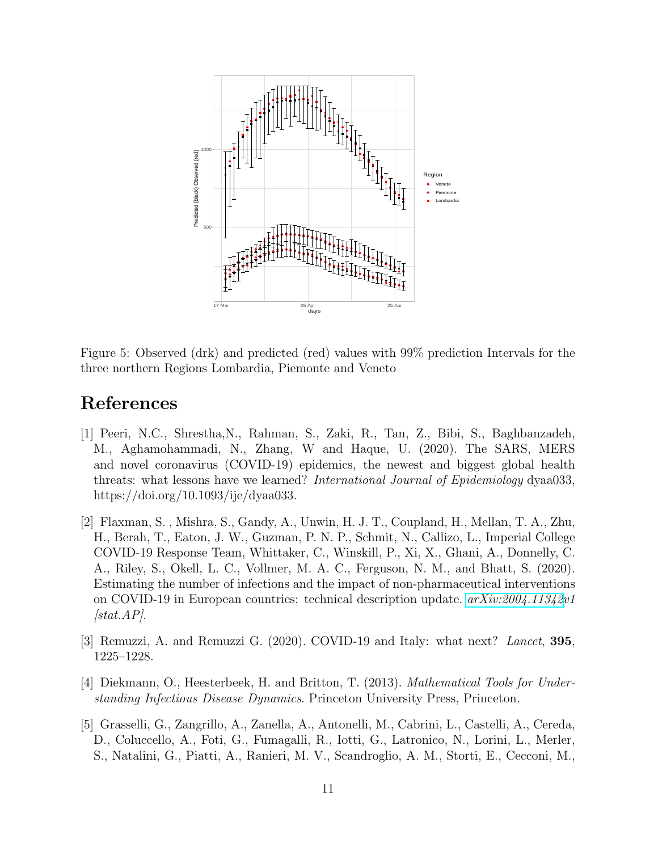

<span id="page-10-5"></span>Figure 5: Observed (drk) and predicted (red) values with 99% prediction Intervals for the three northern Regions Lombardia, Piemonte and Veneto

## References

- <span id="page-10-0"></span>[1] Peeri, N.C., Shrestha,N., Rahman, S., Zaki, R., Tan, Z., Bibi, S., Baghbanzadeh, M., Aghamohammadi, N., Zhang, W and Haque, U. (2020). The SARS, MERS and novel coronavirus (COVID-19) epidemics, the newest and biggest global health threats: what lessons have we learned? International Journal of Epidemiology dyaa033, https://doi.org/10.1093/ije/dyaa033.
- <span id="page-10-1"></span>[2] Flaxman, S. , Mishra, S., Gandy, A., Unwin, H. J. T., Coupland, H., Mellan, T. A., Zhu, H., Berah, T., Eaton, J. W., Guzman, P. N. P., Schmit, N., Callizo, L., Imperial College COVID-19 Response Team, Whittaker, C., Winskill, P., Xi, X., Ghani, A., Donnelly, C. A., Riley, S., Okell, L. C., Vollmer, M. A. C., Ferguson, N. M., and Bhatt, S. (2020). Estimating the number of infections and the impact of non-pharmaceutical interventions on COVID-19 in European countries: technical description update. [arXiv:2004.11342v](http://arxiv.org/abs/2004.11342)1  $[stat.AP]$ .
- <span id="page-10-2"></span>[3] Remuzzi, A. and Remuzzi G. (2020). COVID-19 and Italy: what next? Lancet, 395, 1225–1228.
- <span id="page-10-3"></span>[4] Diekmann, O., Heesterbeek, H. and Britton, T. (2013). Mathematical Tools for Understanding Infectious Disease Dynamics. Princeton University Press, Princeton.
- <span id="page-10-4"></span>[5] Grasselli, G., Zangrillo, A., Zanella, A., Antonelli, M., Cabrini, L., Castelli, A., Cereda, D., Coluccello, A., Foti, G., Fumagalli, R., Iotti, G., Latronico, N., Lorini, L., Merler, S., Natalini, G., Piatti, A., Ranieri, M. V., Scandroglio, A. M., Storti, E., Cecconi, M.,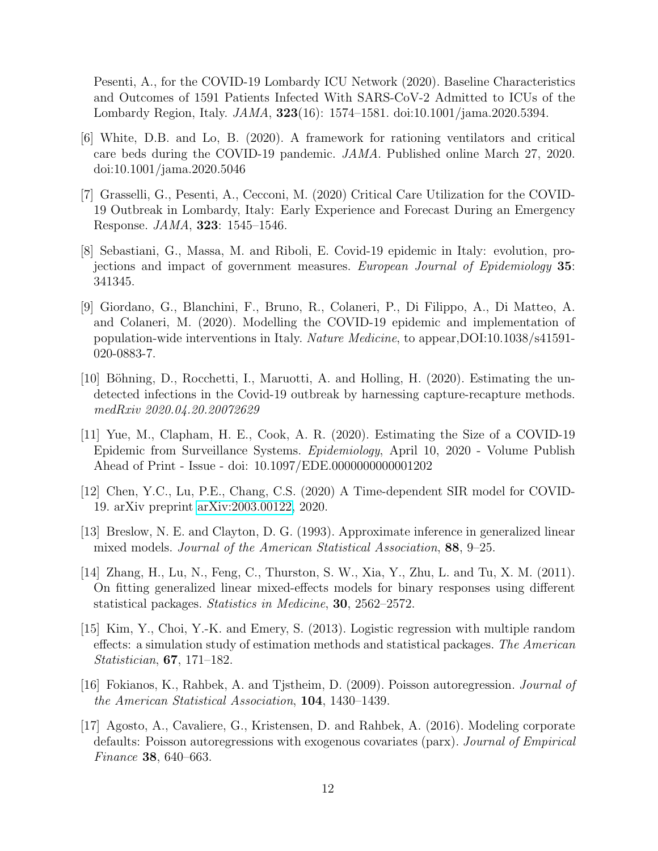Pesenti, A., for the COVID-19 Lombardy ICU Network (2020). Baseline Characteristics and Outcomes of 1591 Patients Infected With SARS-CoV-2 Admitted to ICUs of the Lombardy Region, Italy. JAMA, 323(16): 1574–1581. doi:10.1001/jama.2020.5394.

- <span id="page-11-0"></span>[6] White, D.B. and Lo, B. (2020). A framework for rationing ventilators and critical care beds during the COVID-19 pandemic. JAMA. Published online March 27, 2020. doi:10.1001/jama.2020.5046
- <span id="page-11-1"></span>[7] Grasselli, G., Pesenti, A., Cecconi, M. (2020) Critical Care Utilization for the COVID-19 Outbreak in Lombardy, Italy: Early Experience and Forecast During an Emergency Response. JAMA, 323: 1545–1546.
- <span id="page-11-2"></span>[8] Sebastiani, G., Massa, M. and Riboli, E. Covid-19 epidemic in Italy: evolution, projections and impact of government measures. European Journal of Epidemiology 35: 341345.
- <span id="page-11-3"></span>[9] Giordano, G., Blanchini, F., Bruno, R., Colaneri, P., Di Filippo, A., Di Matteo, A. and Colaneri, M. (2020). Modelling the COVID-19 epidemic and implementation of population-wide interventions in Italy. Nature Medicine, to appear,DOI:10.1038/s41591- 020-0883-7.
- <span id="page-11-4"></span>[10] Böhning, D., Rocchetti, I., Maruotti, A. and Holling, H. (2020). Estimating the undetected infections in the Covid-19 outbreak by harnessing capture-recapture methods. medRxiv 2020.04.20.20072629
- <span id="page-11-5"></span>[11] Yue, M., Clapham, H. E., Cook, A. R. (2020). Estimating the Size of a COVID-19 Epidemic from Surveillance Systems. Epidemiology, April 10, 2020 - Volume Publish Ahead of Print - Issue - doi: 10.1097/EDE.0000000000001202
- <span id="page-11-6"></span>[12] Chen, Y.C., Lu, P.E., Chang, C.S. (2020) A Time-dependent SIR model for COVID-19. arXiv preprint [arXiv:2003.00122,](http://arxiv.org/abs/2003.00122) 2020.
- <span id="page-11-7"></span>[13] Breslow, N. E. and Clayton, D. G. (1993). Approximate inference in generalized linear mixed models. Journal of the American Statistical Association, 88, 9–25.
- <span id="page-11-8"></span>[14] Zhang, H., Lu, N., Feng, C., Thurston, S. W., Xia, Y., Zhu, L. and Tu, X. M. (2011). On fitting generalized linear mixed-effects models for binary responses using different statistical packages. Statistics in Medicine, 30, 2562–2572.
- <span id="page-11-9"></span>[15] Kim, Y., Choi, Y.-K. and Emery, S. (2013). Logistic regression with multiple random effects: a simulation study of estimation methods and statistical packages. The American Statistician, 67, 171–182.
- <span id="page-11-10"></span>[16] Fokianos, K., Rahbek, A. and Tjstheim, D. (2009). Poisson autoregression. Journal of the American Statistical Association, 104, 1430–1439.
- <span id="page-11-11"></span>[17] Agosto, A., Cavaliere, G., Kristensen, D. and Rahbek, A. (2016). Modeling corporate defaults: Poisson autoregressions with exogenous covariates (parx). Journal of Empirical Finance 38, 640–663.